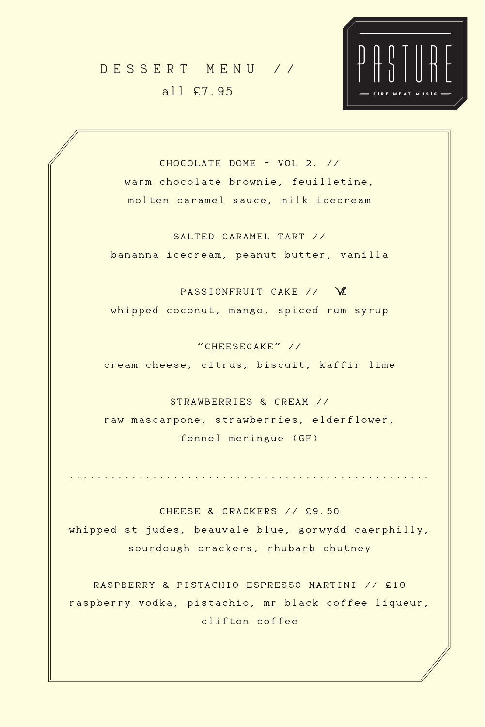CHOCOLATE DOME - VOL 2. // warm chocolate brownie, feuilletine, molten caramel sauce, milk icecream

PASSIONFRUIT CAKE // \& whipped coconut, mango, spiced rum syrup

SALTED CARAMEL TART // bananna icecream, peanut butter, vanilla

"CHEESECAKE" //

cream cheese, citrus, biscuit, kaffir lime

STRAWBERRIES & CREAM // raw mascarpone, strawberries, elderflower, fennel meringue (GF)

....................................................

CHEESE & CRACKERS // £9.50 whipped st judes, beauvale blue, gorwydd caerphilly, sourdough crackers, rhubarb chutney

RASPBERRY & PISTACHIO ESPRESSO MARTINI // £10 raspberry vodka, pistachio, mr black coffee liqueur, clifton coffee

## DESSERT MENU // all £7.95